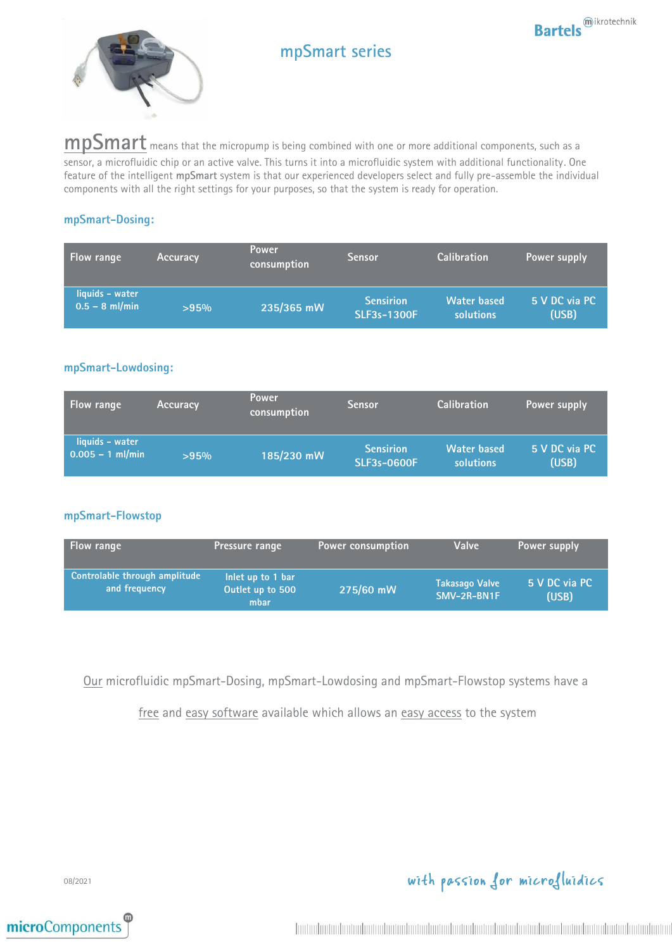



# **mpSmart series**

**mpSmart** means that the micropump is being combined with one or more additional components, such as a sensor, a microfluidic chip or an active valve. This turns it into a microfluidic system with additional functionality. One feature of the intelligent **mpSmart** system is that our experienced developers select and fully pre-assemble the individual components with all the right settings for your purposes, so that the system is ready for operation.

### **mpSmart-Dosing:**

| Flow range                          | <b>Accuracy</b> | <b>Power</b><br>consumption | <b>Sensor</b>                          | <b>Calibration</b>                     | Power supply           |
|-------------------------------------|-----------------|-----------------------------|----------------------------------------|----------------------------------------|------------------------|
| liquids - water<br>$0.5 - 8$ ml/min | >95%            | 235/365 mW                  | <b>Sensirion</b><br><b>SLF3s-1300F</b> | <b>Water based</b><br><b>solutions</b> | 5 V DC via PC<br>(USB) |

### **mpSmart-Lowdosing:**

| <b>Flow range</b>                     | <b>Accuracy</b> | <b>Power</b><br>consumption | <b>Sensor</b>                          | <b>Calibration</b>              | Power supply           |
|---------------------------------------|-----------------|-----------------------------|----------------------------------------|---------------------------------|------------------------|
| liquids - water<br>$0.005 - 1$ ml/min | >95%            | 185/230 mW                  | <b>Sensirion</b><br><b>SLF3s-0600F</b> | <b>Water based</b><br>solutions | 5 V DC via PC<br>(USB) |

### **mpSmart-Flowstop**

| <b>Flow range</b>                              | <b>Pressure range</b>                         | <b>Power consumption</b> | Valve                                | Power supply           |
|------------------------------------------------|-----------------------------------------------|--------------------------|--------------------------------------|------------------------|
| Controlable through amplitude<br>and frequency | Inlet up to 1 bar<br>Outlet up to 500<br>mbar | 275/60 mW                | <b>Takasago Valve</b><br>SMV-2R-BN1F | 5 V DC via PC<br>(USB) |

Our microfluidic mpSmart-Dosing, mpSmart-Lowdosing and mpSmart-Flowstop systems have a

free and easy software available which allows an easy access to the system

08/2021



with passion for microfluidics